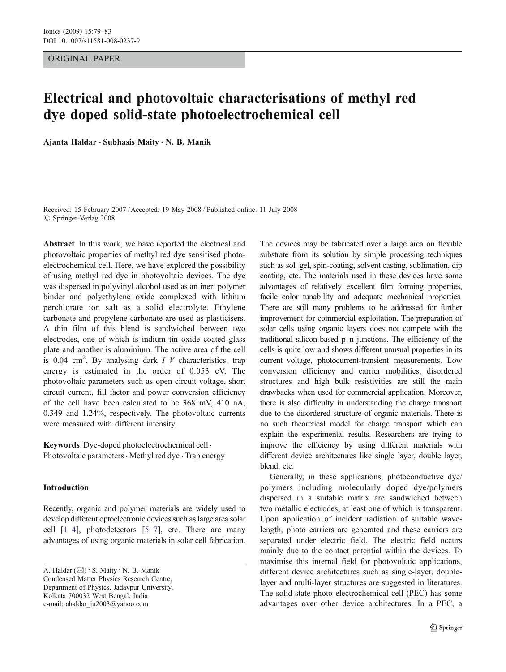ORIGINAL PAPER

# Electrical and photovoltaic characterisations of methyl red dye doped solid-state photoelectrochemical cell

Ajanta Haldar  $\cdot$  Subhasis Maity  $\cdot$  N. B. Manik

Received: 15 February 2007 /Accepted: 19 May 2008 / Published online: 11 July 2008  $\oslash$  Springer-Verlag 2008

Abstract In this work, we have reported the electrical and photovoltaic properties of methyl red dye sensitised photoelectrochemical cell. Here, we have explored the possibility of using methyl red dye in photovoltaic devices. The dye was dispersed in polyvinyl alcohol used as an inert polymer binder and polyethylene oxide complexed with lithium perchlorate ion salt as a solid electrolyte. Ethylene carbonate and propylene carbonate are used as plasticisers. A thin film of this blend is sandwiched between two electrodes, one of which is indium tin oxide coated glass plate and another is aluminium. The active area of the cell is 0.04 cm<sup>2</sup>. By analysing dark  $I-V$  characteristics, trap energy is estimated in the order of 0.053 eV. The photovoltaic parameters such as open circuit voltage, short circuit current, fill factor and power conversion efficiency of the cell have been calculated to be 368 mV, 410 nA, 0.349 and 1.24%, respectively. The photovoltaic currents were measured with different intensity.

Keywords Dye-doped photoelectrochemical cell . Photovoltaic parameters · Methyl red dye · Trap energy

# Introduction

Recently, organic and polymer materials are widely used to develop different optoelectronic devices such as large area solar cell  $[1-4]$  $[1-4]$  $[1-4]$  $[1-4]$ , photodetectors  $[5-7]$  $[5-7]$  $[5-7]$  $[5-7]$ , etc. There are many advantages of using organic materials in solar cell fabrication.

A. Haldar ( $\boxtimes$ ) · S. Maity · N. B. Manik Condensed Matter Physics Research Centre, Department of Physics, Jadavpur University, Kolkata 700032 West Bengal, India e-mail: ahaldar\_ju2003@yahoo.com

The devices may be fabricated over a large area on flexible substrate from its solution by simple processing techniques such as sol–gel, spin-coating, solvent casting, sublimation, dip coating, etc. The materials used in these devices have some advantages of relatively excellent film forming properties, facile color tunability and adequate mechanical properties. There are still many problems to be addressed for further improvement for commercial exploitation. The preparation of solar cells using organic layers does not compete with the traditional silicon-based p–n junctions. The efficiency of the cells is quite low and shows different unusual properties in its current–voltage, photocurrent-transient measurements. Low conversion efficiency and carrier mobilities, disordered structures and high bulk resistivities are still the main drawbacks when used for commercial application. Moreover, there is also difficulty in understanding the charge transport due to the disordered structure of organic materials. There is no such theoretical model for charge transport which can explain the experimental results. Researchers are trying to improve the efficiency by using different materials with different device architectures like single layer, double layer, blend, etc.

Generally, in these applications, photoconductive dye/ polymers including molecularly doped dye/polymers dispersed in a suitable matrix are sandwiched between two metallic electrodes, at least one of which is transparent. Upon application of incident radiation of suitable wavelength, photo carriers are generated and these carriers are separated under electric field. The electric field occurs mainly due to the contact potential within the devices. To maximise this internal field for photovoltaic applications, different device architectures such as single-layer, doublelayer and multi-layer structures are suggested in literatures. The solid-state photo electrochemical cell (PEC) has some advantages over other device architectures. In a PEC, a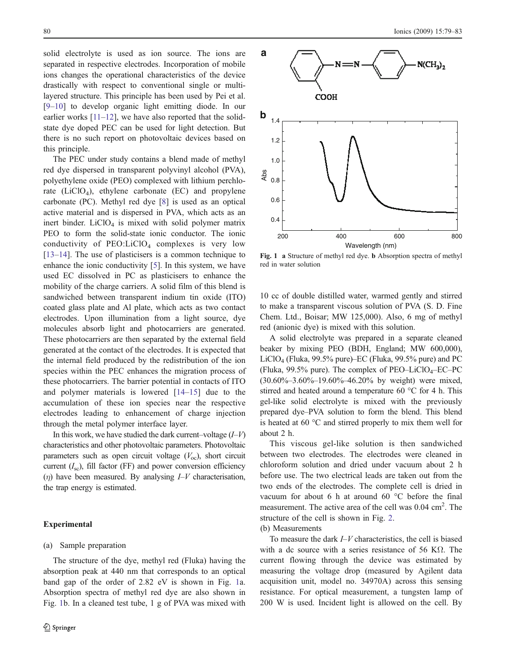solid electrolyte is used as ion source. The ions are separated in respective electrodes. Incorporation of mobile ions changes the operational characteristics of the device drastically with respect to conventional single or multilayered structure. This principle has been used by Pei et al. [\[9](#page-4-0)–[10](#page-4-0)] to develop organic light emitting diode. In our earlier works  $[11-12]$  $[11-12]$  $[11-12]$  $[11-12]$ , we have also reported that the solidstate dye doped PEC can be used for light detection. But there is no such report on photovoltaic devices based on this principle.

The PEC under study contains a blend made of methyl red dye dispersed in transparent polyvinyl alcohol (PVA), polyethylene oxide (PEO) complexed with lithium perchlorate  $(LiClO<sub>4</sub>)$ , ethylene carbonate  $(EC)$  and propylene carbonate (PC). Methyl red dye [\[8](#page-4-0)] is used as an optical active material and is dispersed in PVA, which acts as an inert binder. LiCl $O_4$  is mixed with solid polymer matrix PEO to form the solid-state ionic conductor. The ionic conductivity of  $PEO:LiClO<sub>4</sub>$  complexes is very low [\[13](#page-4-0)–[14](#page-4-0)]. The use of plasticisers is a common technique to enhance the ionic conductivity [\[5](#page-4-0)]. In this system, we have used EC dissolved in PC as plasticisers to enhance the mobility of the charge carriers. A solid film of this blend is sandwiched between transparent indium tin oxide (ITO) coated glass plate and Al plate, which acts as two contact electrodes. Upon illumination from a light source, dye molecules absorb light and photocarriers are generated. These photocarriers are then separated by the external field generated at the contact of the electrodes. It is expected that the internal field produced by the redistribution of the ion species within the PEC enhances the migration process of these photocarriers. The barrier potential in contacts of ITO and polymer materials is lowered [[14](#page-4-0)–[15\]](#page-4-0) due to the accumulation of these ion species near the respective electrodes leading to enhancement of charge injection through the metal polymer interface layer.

In this work, we have studied the dark current–voltage  $(I-V)$ characteristics and other photovoltaic parameters. Photovoltaic parameters such as open circuit voltage  $(V_{oc})$ , short circuit current  $(I_{\rm sc})$ , fill factor (FF) and power conversion efficiency  $(\eta)$  have been measured. By analysing  $I-V$  characterisation, the trap energy is estimated.

## Experimental

## (a) Sample preparation

The structure of the dye, methyl red (Fluka) having the absorption peak at 440 nm that corresponds to an optical band gap of the order of 2.82 eV is shown in Fig. 1a. Absorption spectra of methyl red dye are also shown in Fig. 1b. In a cleaned test tube, 1 g of PVA was mixed with



Fig. 1 a Structure of methyl red dye. b Absorption spectra of methyl red in water solution

10 cc of double distilled water, warmed gently and stirred to make a transparent viscous solution of PVA (S. D. Fine Chem. Ltd., Boisar; MW 125,000). Also, 6 mg of methyl red (anionic dye) is mixed with this solution.

A solid electrolyte was prepared in a separate cleaned beaker by mixing PEO (BDH, England; MW 600,000), LiClO4 (Fluka, 99.5% pure)–EC (Fluka, 99.5% pure) and PC (Fluka,  $99.5\%$  pure). The complex of PEO–LiClO<sub>4</sub>–EC–PC (30.60%–3.60%–19.60%–46.20% by weight) were mixed, stirred and heated around a temperature 60 °C for 4 h. This gel-like solid electrolyte is mixed with the previously prepared dye–PVA solution to form the blend. This blend is heated at 60 °C and stirred properly to mix them well for about 2 h.

This viscous gel-like solution is then sandwiched between two electrodes. The electrodes were cleaned in chloroform solution and dried under vacuum about 2 h before use. The two electrical leads are taken out from the two ends of the electrodes. The complete cell is dried in vacuum for about 6 h at around 60 °C before the final measurement. The active area of the cell was 0.04 cm<sup>2</sup>. The structure of the cell is shown in Fig. [2](#page-2-0).

# (b) Measurements

To measure the dark I–V characteristics, the cell is biased with a dc source with a series resistance of 56 K $\Omega$ . The current flowing through the device was estimated by measuring the voltage drop (measured by Agilent data acquisition unit, model no. 34970A) across this sensing resistance. For optical measurement, a tungsten lamp of 200 W is used. Incident light is allowed on the cell. By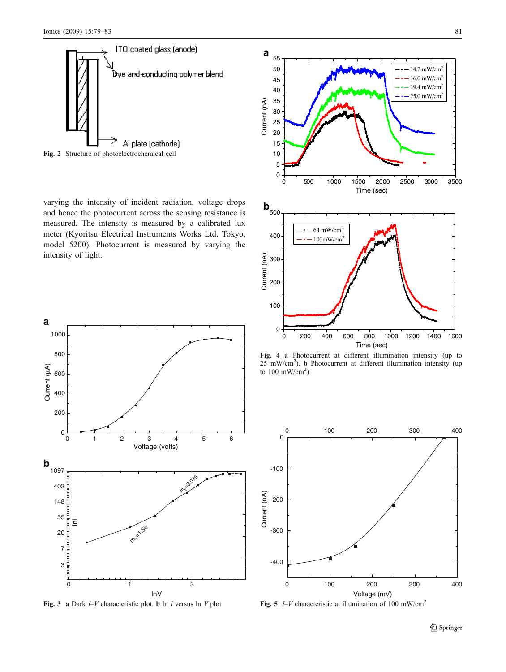<span id="page-2-0"></span>

Fig. 2 Structure of photoelectrochemical cell

varying the intensity of incident radiation, voltage drops and hence the photocurrent across the sensing resistance is measured. The intensity is measured by a calibrated lux meter (Kyoritsu Electrical Instruments Works Ltd. Tokyo, model 5200). Photocurrent is measured by varying the intensity of light.



Fig. 3 a Dark  $I-V$  characteristic plot. **b** ln I versus ln V plot



Fig. 4 a Photocurrent at different illumination intensity (up to 25 mW/cm<sup>2</sup> ). b Photocurrent at different illumination intensity (up to  $100$  mW/cm<sup>2</sup>)



Fig. 5  $I-V$  characteristic at illumination of 100 mW/cm<sup>2</sup>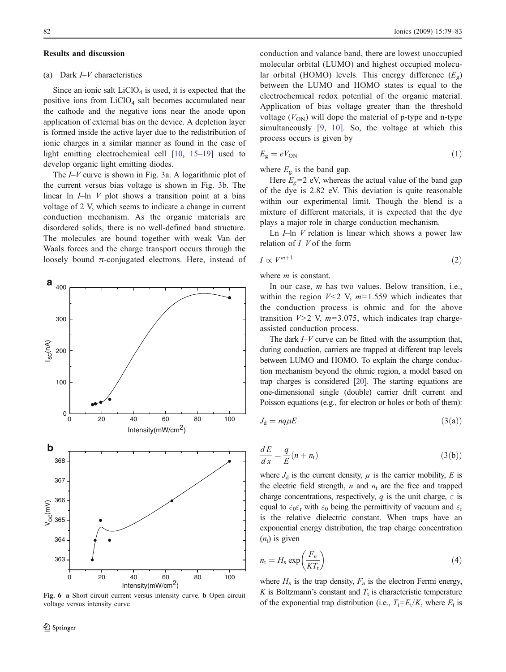#### <span id="page-3-0"></span>Results and discussion

## (a) Dark I*–*V characteristics

Since an ionic salt  $LiClO<sub>4</sub>$  is used, it is expected that the positive ions from  $LiClO<sub>4</sub>$  salt becomes accumulated near the cathode and the negative ions near the anode upon application of external bias on the device. A depletion layer is formed inside the active layer due to the redistribution of ionic charges in a similar manner as found in the case of light emitting electrochemical cell [\[10](#page-4-0), [15](#page-4-0)–[19](#page-4-0)] used to develop organic light emitting diodes.

The  $I-V$  curve is shown in Fig. [3a](#page-2-0). A logarithmic plot of the current versus bias voltage is shown in Fig. [3b](#page-2-0). The linear ln  $I$ –ln  $V$  plot shows a transition point at a bias voltage of 2 V, which seems to indicate a change in current conduction mechanism. As the organic materials are disordered solids, there is no well-defined band structure. The molecules are bound together with weak Van der Waals forces and the charge transport occurs through the loosely bound  $\pi$ -conjugated electrons. Here, instead of



Fig. 6 a Short circuit current versus intensity curve. b Open circuit voltage versus intensity curve

conduction and valance band, there are lowest unoccupied molecular orbital (LUMO) and highest occupied molecular orbital (HOMO) levels. This energy difference  $(E_{\alpha})$ between the LUMO and HOMO states is equal to the electrochemical redox potential of the organic material. Application of bias voltage greater than the threshold voltage  $(V<sub>ON</sub>)$  will dope the material of p-type and n-type simultaneously [[9,](#page-4-0) [10\]](#page-4-0). So, the voltage at which this process occurs is given by

$$
E_{\rm g} = eV_{\rm ON} \tag{1}
$$

where  $E<sub>g</sub>$  is the band gap.

Here  $E_g$ =2 eV, whereas the actual value of the band gap of the dye is 2.82 eV. This deviation is quite reasonable within our experimental limit. Though the blend is a mixture of different materials, it is expected that the dye plays a major role in charge conduction mechanism.

Ln  $I$ –ln  $V$  relation is linear which shows a power law relation of  $I-V$  of the form

$$
I \propto V^{m+1} \tag{2}
$$

where *m* is constant.

In our case, *m* has two values. Below transition, i.e., within the region  $V<2$  V,  $m=1.559$  which indicates that the conduction process is ohmic and for the above transition  $V>2$  V,  $m=3.075$ , which indicates trap chargeassisted conduction process.

The dark  $I-V$  curve can be fitted with the assumption that, during conduction, carriers are trapped at different trap levels between LUMO and HOMO. To explain the charge conduction mechanism beyond the ohmic region, a model based on trap charges is considered [\[20\]](#page-4-0). The starting equations are one-dimensional single (double) carrier drift current and Poisson equations (e.g., for electron or holes or both of them):

$$
J_{\rm d} = nq\mu E \tag{3(a)}
$$

$$
\frac{dE}{dx} = \frac{q}{E}(n + n_t) \tag{3(b)}
$$

where  $J_d$  is the current density,  $\mu$  is the carrier mobility, E is the electric field strength,  $n$  and  $n_t$  are the free and trapped charge concentrations, respectively, q is the unit charge,  $\varepsilon$  is equal to  $\varepsilon_0 \varepsilon_r$  with  $\varepsilon_0$  being the permittivity of vacuum and  $\varepsilon_r$ is the relative dielectric constant. When traps have an exponential energy distribution, the trap charge concentration  $(n<sub>t</sub>)$  is given

$$
n_{t} = H_{n} \exp\left(\frac{F_{n}}{KT_{t}}\right) \tag{4}
$$

where  $H_n$  is the trap density,  $F_n$  is the electron Fermi energy, K is Boltzmann's constant and  $T_t$  is characteristic temperature of the exponential trap distribution (i.e.,  $T_t = E_t/K$ , where  $E_t$  is